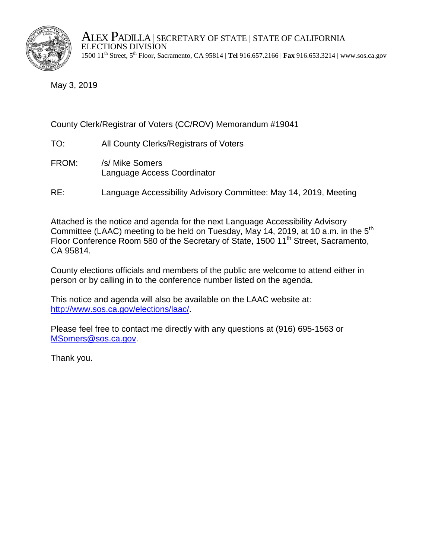

ALEX PADILLA | SECRETARY OF STATE | STATE OF CALIFORNIA<br>ELECTIONS DIVISION 1500 11th Street, 5th Floor, Sacramento, CA 95814 | **Tel** 916.657.2166 | **Fax** 916.653.3214 | www.sos.ca.gov

May 3, 2019

## County Clerk/Registrar of Voters (CC/ROV) Memorandum #19041

- TO: All County Clerks/Registrars of Voters
- FROM: /s/ Mike Somers Language Access Coordinator
- RE: Language Accessibility Advisory Committee: May 14, 2019, Meeting

Attached is the notice and agenda for the next Language Accessibility Advisory Committee (LAAC) meeting to be held on Tuesday, May 14, 2019, at 10 a.m. in the  $5<sup>th</sup>$ Floor Conference Room 580 of the Secretary of State, 1500 11<sup>th</sup> Street, Sacramento, CA 95814.

County elections officials and members of the public are welcome to attend either in person or by calling in to the conference number listed on the agenda.

This notice and agenda will also be available on the LAAC website at: [http://www.sos.ca.gov/elections/laac/.](http://www.sos.ca.gov/elections/laac/)

Please feel free to contact me directly with any questions at (916) 695-1563 or [MSomers@sos.ca.gov.](mailto:MSomers@sos.ca.gov)

Thank you.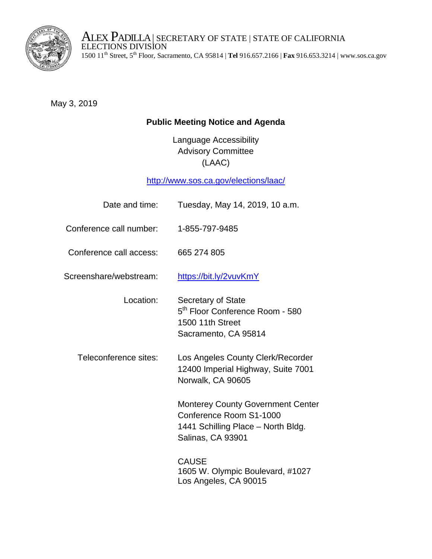

ALEX PADILLA | SECRETARY OF STATE | STATE OF CALIFORNIA<br>ELECTIONS DIVISION 1500 11th Street, 5th Floor, Sacramento, CA 95814 | **Tel** 916.657.2166 | **Fax** 916.653.3214 | www.sos.ca.gov

May 3, 2019

## **Public Meeting Notice and Agenda**

Language Accessibility Advisory Committee (LAAC)

<http://www.sos.ca.gov/elections/laac/>

| Date and time:          | Tuesday, May 14, 2019, 10 a.m.                                                                                                        |
|-------------------------|---------------------------------------------------------------------------------------------------------------------------------------|
| Conference call number: | 1-855-797-9485                                                                                                                        |
| Conference call access: | 665 274 805                                                                                                                           |
| Screenshare/webstream:  | https://bit.ly/2vuvKmY                                                                                                                |
| Location:               | Secretary of State<br>5 <sup>th</sup> Floor Conference Room - 580<br>1500 11th Street<br>Sacramento, CA 95814                         |
| Teleconference sites:   | Los Angeles County Clerk/Recorder<br>12400 Imperial Highway, Suite 7001<br>Norwalk, CA 90605                                          |
|                         | <b>Monterey County Government Center</b><br>Conference Room S1-1000<br>1441 Schilling Place - North Bldg.<br><b>Salinas, CA 93901</b> |
|                         | <b>CAUSE</b><br>1605 W. Olympic Boulevard, #1027<br>Los Angeles, CA 90015                                                             |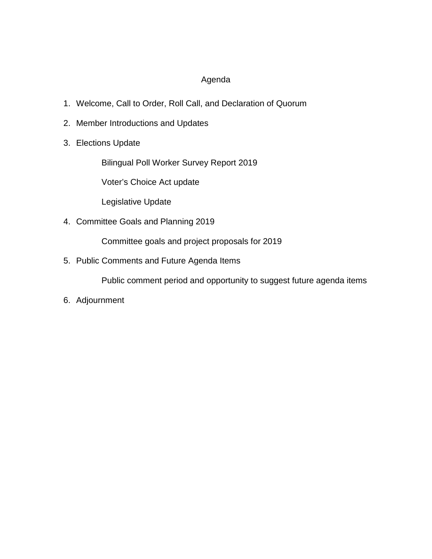## Agenda

- 1. Welcome, Call to Order, Roll Call, and Declaration of Quorum
- 2. Member Introductions and Updates
- 3. Elections Update

Bilingual Poll Worker Survey Report 2019

Voter's Choice Act update

Legislative Update

4. Committee Goals and Planning 2019

Committee goals and project proposals for 2019

5. Public Comments and Future Agenda Items

Public comment period and opportunity to suggest future agenda items

6. Adjournment